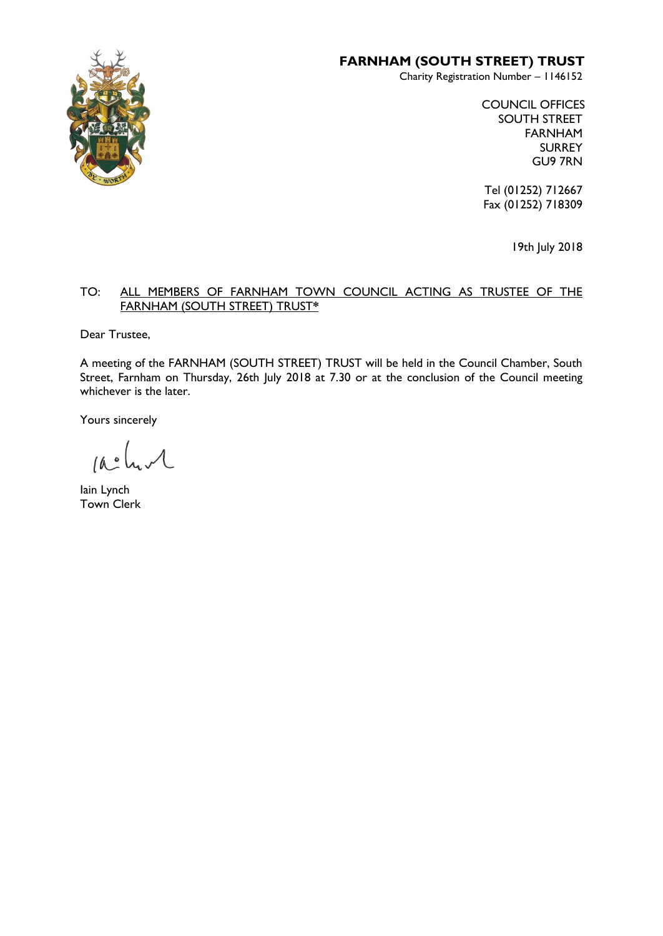

# **FARNHAM (SOUTH STREET) TRUST**

Charity Registration Number – 1146152

COUNCIL OFFICES SOUTH STREET FARNHAM SURREY GU9 7RN

Tel (01252) 712667 Fax (01252) 718309

19th July 2018

#### TO: ALL MEMBERS OF FARNHAM TOWN COUNCIL ACTING AS TRUSTEE OF THE FARNHAM (SOUTH STREET) TRUST**\***

Dear Trustee,

A meeting of the FARNHAM (SOUTH STREET) TRUST will be held in the Council Chamber, South Street, Farnham on Thursday, 26th July 2018 at 7.30 or at the conclusion of the Council meeting whichever is the later.

Yours sincerely

 $\mathcal{A}$  $10<sup>o</sup>$ 

lain Lynch Town Clerk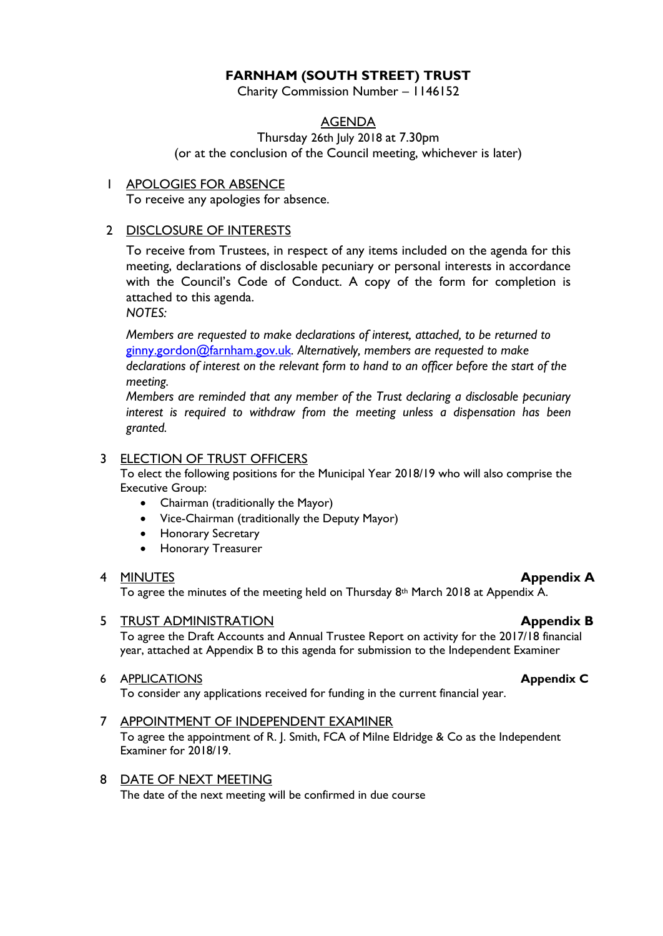# **FARNHAM (SOUTH STREET) TRUST**

Charity Commission Number – 1146152

# AGENDA

Thursday 26th July 2018 at 7.30pm (or at the conclusion of the Council meeting, whichever is later)

1 APOLOGIES FOR ABSENCE

To receive any apologies for absence.

# 2 DISCLOSURE OF INTERESTS

To receive from Trustees, in respect of any items included on the agenda for this meeting, declarations of disclosable pecuniary or personal interests in accordance with the Council's Code of Conduct. A copy of the form for completion is attached to this agenda.

*NOTES:*

*Members are requested to make declarations of interest, attached, to be returned to*  [ginny.gordon@farnham.gov.uk](mailto:ginny.gordon@farnham.gov.uk)*. Alternatively, members are requested to make declarations of interest on the relevant form to hand to an officer before the start of the meeting.* 

*Members are reminded that any member of the Trust declaring a disclosable pecuniary interest is required to withdraw from the meeting unless a dispensation has been granted.*

# 3 ELECTION OF TRUST OFFICERS

To elect the following positions for the Municipal Year 2018/19 who will also comprise the Executive Group:

- Chairman (traditionally the Mayor)
- Vice-Chairman (traditionally the Deputy Mayor)
- Honorary Secretary
- Honorary Treasurer

#### 4 MINUTES **Appendix A**

To agree the minutes of the meeting held on Thursday 8<sup>th</sup> March 2018 at Appendix A.

5 TRUST ADMINISTRATION **Appendix B**

To agree the Draft Accounts and Annual Trustee Report on activity for the 2017/18 financial year, attached at Appendix B to this agenda for submission to the Independent Examiner

#### 6 APPLICATIONS **Appendix C**

To consider any applications received for funding in the current financial year.

#### 7 APPOINTMENT OF INDEPENDENT EXAMINER

To agree the appointment of R. J. Smith, FCA of Milne Eldridge & Co as the Independent Examiner for 2018/19.

### 8 DATE OF NEXT MEETING

The date of the next meeting will be confirmed in due course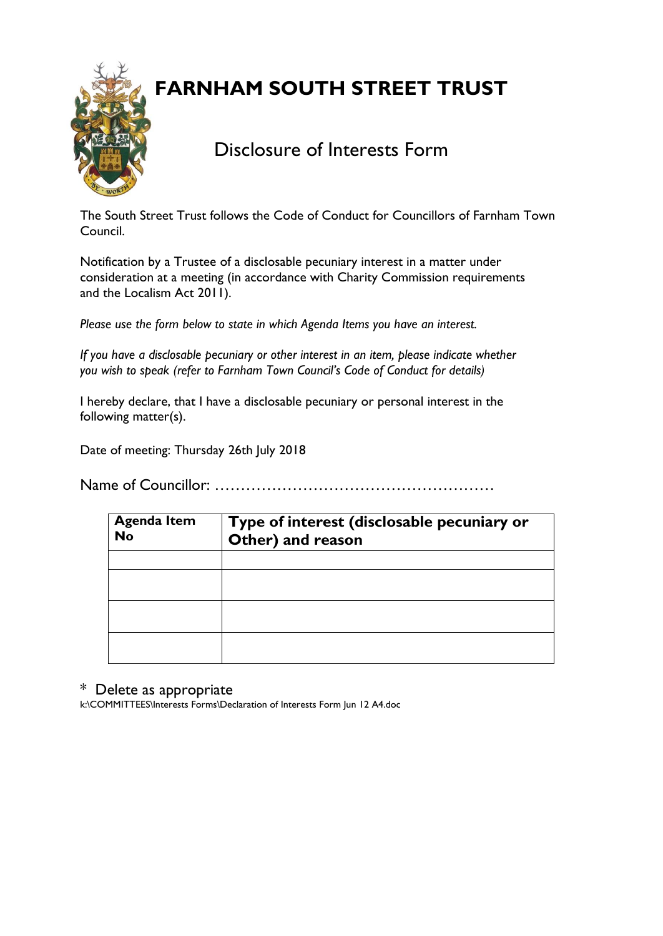**FARNHAM SOUTH STREET TRUST**



Disclosure of Interests Form

The South Street Trust follows the Code of Conduct for Councillors of Farnham Town Council.

Notification by a Trustee of a disclosable pecuniary interest in a matter under consideration at a meeting (in accordance with Charity Commission requirements and the Localism Act 2011).

*Please use the form below to state in which Agenda Items you have an interest.* 

*If you have a disclosable pecuniary or other interest in an item, please indicate whether you wish to speak (refer to Farnham Town Council's Code of Conduct for details)*

I hereby declare, that I have a disclosable pecuniary or personal interest in the following matter(s).

Date of meeting: Thursday 26th July 2018

Name of Councillor: ………………………………………………

| <b>Agenda Item</b><br><b>No</b> | Type of interest (disclosable pecuniary or<br>Other) and reason |
|---------------------------------|-----------------------------------------------------------------|
|                                 |                                                                 |
|                                 |                                                                 |
|                                 |                                                                 |
|                                 |                                                                 |

# \* Delete as appropriate

k:\COMMITTEES\Interests Forms\Declaration of Interests Form Jun 12 A4.doc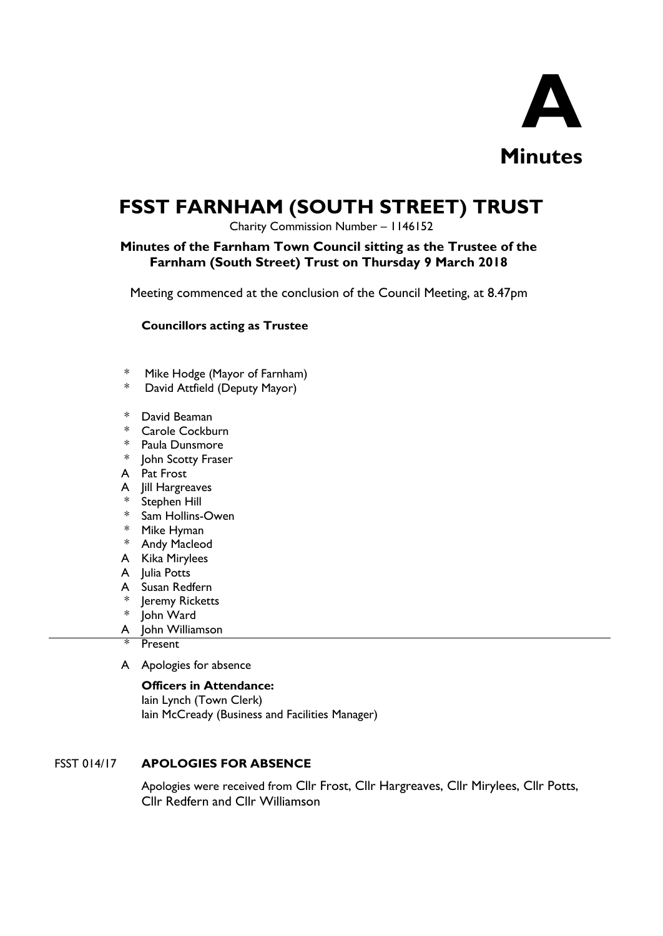

# **FSST FARNHAM (SOUTH STREET) TRUST**

Charity Commission Number – 1146152

# **Minutes of the Farnham Town Council sitting as the Trustee of the Farnham (South Street) Trust on Thursday 9 March 2018**

Meeting commenced at the conclusion of the Council Meeting, at 8.47pm

#### **Councillors acting as Trustee**

- \* Mike Hodge (Mayor of Farnham)
- \* David Attfield (Deputy Mayor)
- \* David Beaman
- \* Carole Cockburn
- \* Paula Dunsmore
- \* John Scotty Fraser
- A Pat Frost
- A Jill Hargreaves
- \* Stephen Hill
- \* Sam Hollins-Owen
- \* Mike Hyman
- \* Andy Macleod
- A Kika Mirylees
- A Julia Potts
- A Susan Redfern
- \* Jeremy Ricketts
- \* John Ward
- A John Williamson
- **Present**
- A Apologies for absence

#### **Officers in Attendance:**

Iain Lynch (Town Clerk) Iain McCready (Business and Facilities Manager)

#### FSST 014/17 **APOLOGIES FOR ABSENCE**

Apologies were received from Cllr Frost, Cllr Hargreaves, Cllr Mirylees, Cllr Potts, Cllr Redfern and Cllr Williamson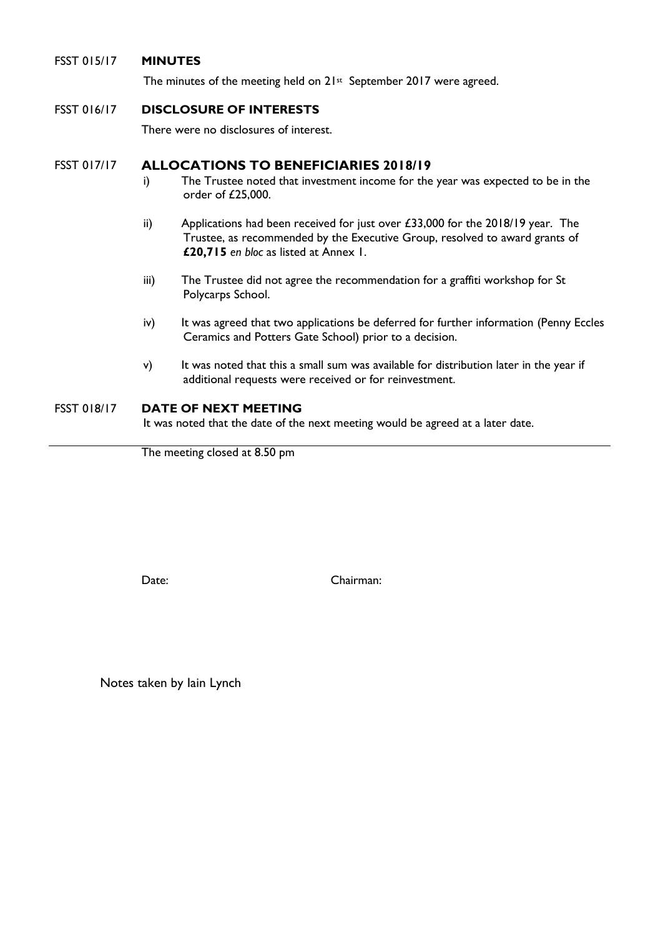#### FSST 015/17 **MINUTES**

The minutes of the meeting held on 21<sup>st</sup> September 2017 were agreed.

#### FSST 016/17 **DISCLOSURE OF INTERESTS**

There were no disclosures of interest.

### FSST 017/17 **ALLOCATIONS TO BENEFICIARIES 2018/19**

- i) The Trustee noted that investment income for the year was expected to be in the order of £25,000.
- ii) Applications had been received for just over  $£33,000$  for the  $2018/19$  year. The Trustee, as recommended by the Executive Group, resolved to award grants of **£20,715** *en bloc* as listed at Annex 1.
- iii) The Trustee did not agree the recommendation for a graffiti workshop for St Polycarps School.
- iv) It was agreed that two applications be deferred for further information (Penny Eccles Ceramics and Potters Gate School) prior to a decision.
- v) It was noted that this a small sum was available for distribution later in the year if additional requests were received or for reinvestment.

#### FSST 018/17 **DATE OF NEXT MEETING**

It was noted that the date of the next meeting would be agreed at a later date.

The meeting closed at 8.50 pm

Date: Chairman:

Notes taken by Iain Lynch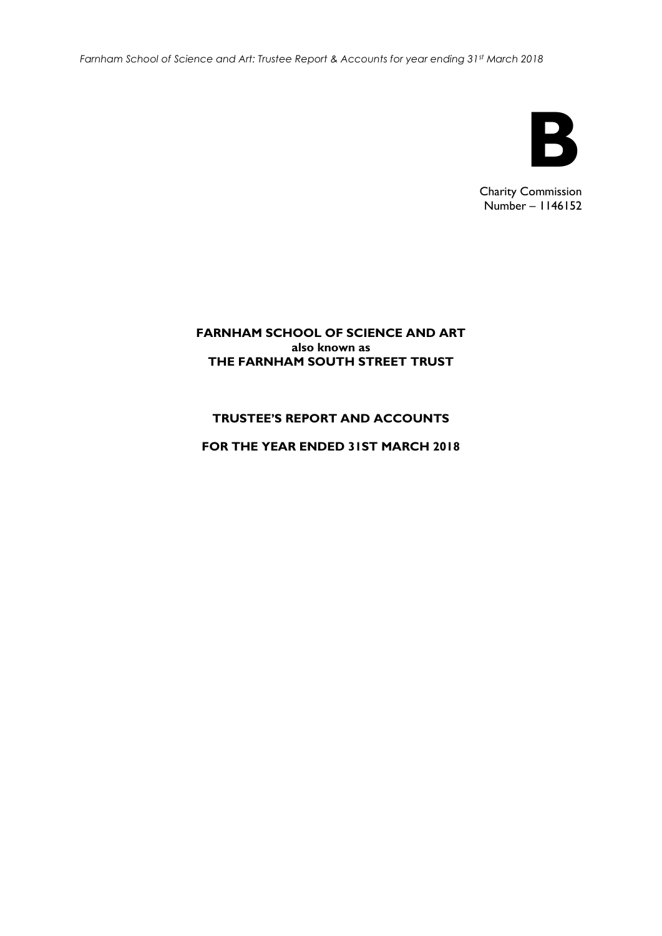*Farnham School of Science and Art: Trustee Report & Accounts for year ending 31st March 2018*



Charity Commission Number – 1146152

## **FARNHAM SCHOOL OF SCIENCE AND ART also known as THE FARNHAM SOUTH STREET TRUST**

# **TRUSTEE'S REPORT AND ACCOUNTS**

**FOR THE YEAR ENDED 31ST MARCH 2018**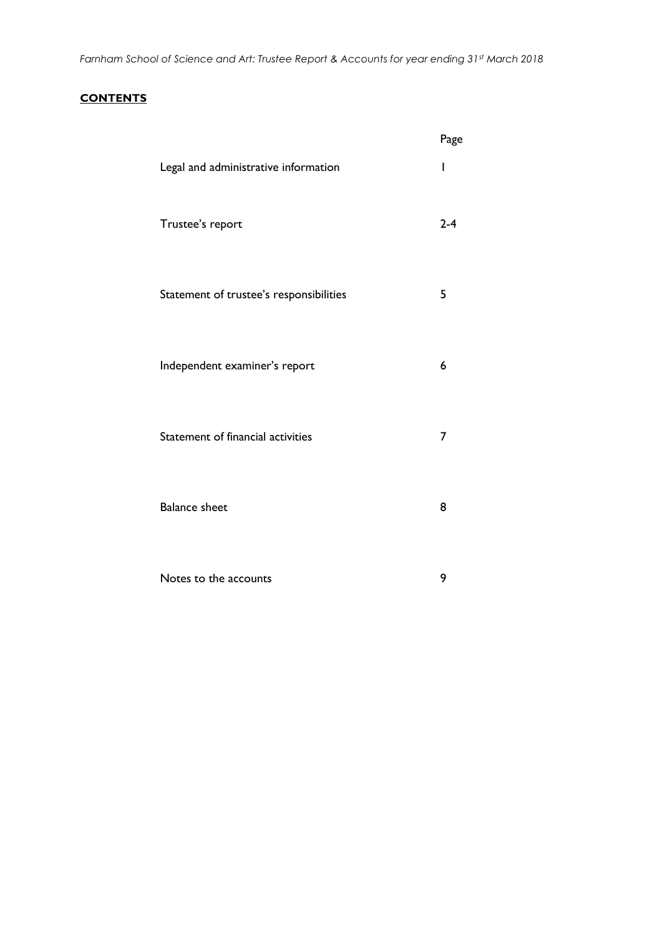#### **CONTENTS**

|                                         | Page    |
|-----------------------------------------|---------|
| Legal and administrative information    | ı       |
| Trustee's report                        | $2 - 4$ |
| Statement of trustee's responsibilities | 5       |
| Independent examiner's report           | 6       |
| Statement of financial activities       | 7       |
| <b>Balance sheet</b>                    | 8       |
| Notes to the accounts                   | 9       |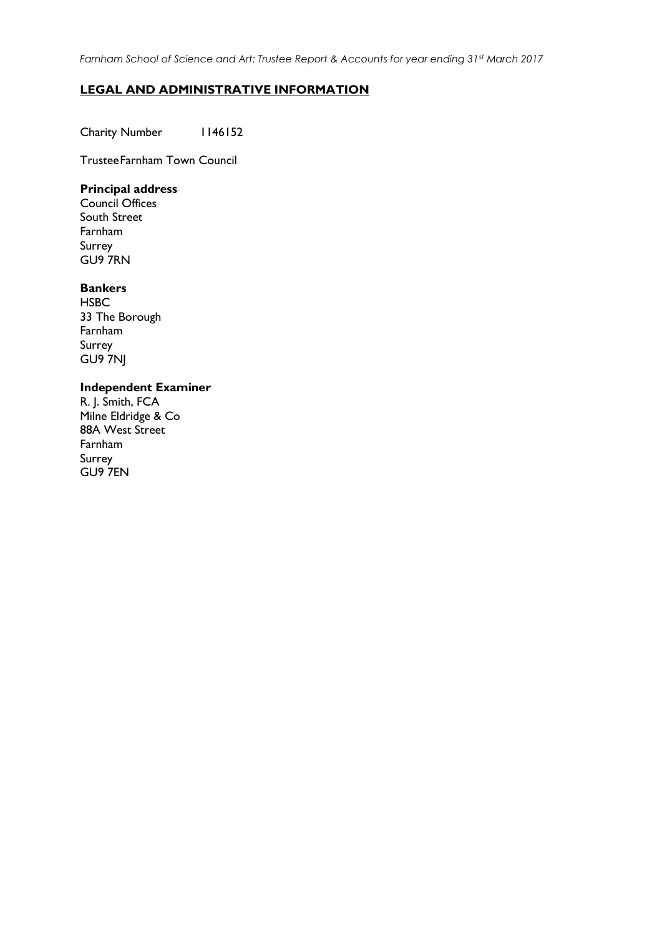*Farnham School of Science and Art: Trustee Report & Accounts for year ending 31st March 2017*

#### **LEGAL AND ADMINISTRATIVE INFORMATION**

Charity Number 1146152

TrusteeFarnham Town Council

## **Principal address**

Council Offices South Street Farnham Surrey GU9 7RN

#### **Bankers**

**HSBC** 33 The Borough Farnham Surrey GU9 7NJ

#### **Independent Examiner**

R. J. Smith, FCA Milne Eldridge & Co 88A West Street Farnham Surrey GU9 7EN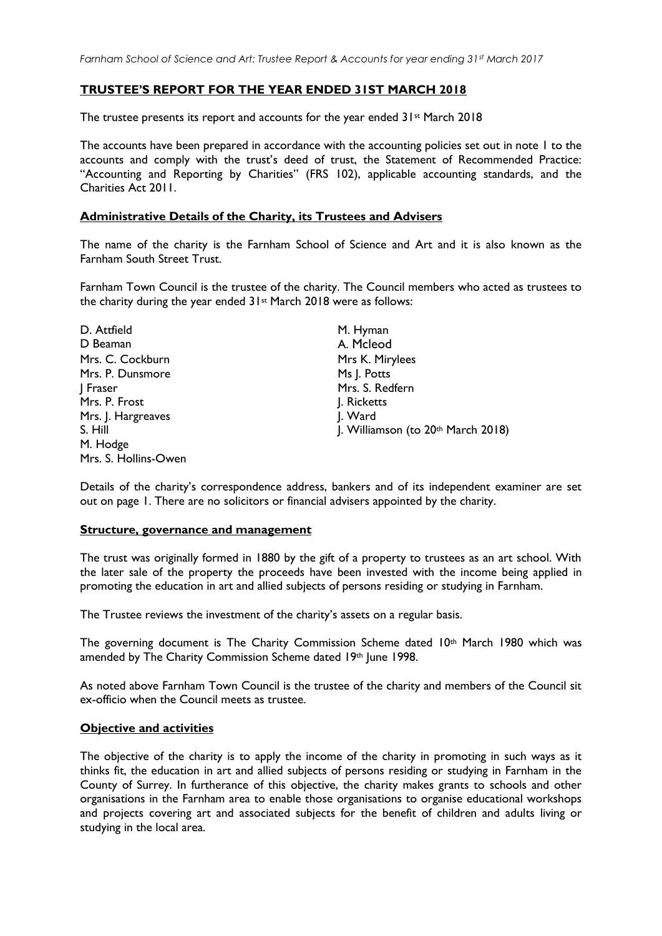#### **TRUSTEE'S REPORT FOR THE YEAR ENDED 31ST MARCH 2018**

The trustee presents its report and accounts for the year ended  $31st$  March 2018

The accounts have been prepared in accordance with the accounting policies set out in note 1 to the accounts and comply with the trust's deed of trust, the Statement of Recommended Practice: "Accounting and Reporting by Charities" (FRS 102), applicable accounting standards, and the Charities Act 2011.

#### **Administrative Details of the Charity, its Trustees and Advisers**

The name of the charity is the Farnham School of Science and Art and it is also known as the Farnham South Street Trust.

Farnham Town Council is the trustee of the charity. The Council members who acted as trustees to the charity during the year ended  $31st$  March 2018 were as follows:

| D. Attfield          | M. Hyman                           |
|----------------------|------------------------------------|
| D Beaman             | A. Mcleod                          |
| Mrs. C. Cockburn     | Mrs K. Mirylees                    |
| Mrs. P. Dunsmore     | Ms J. Potts                        |
| Fraser               | Mrs. S. Redfern                    |
| Mrs. P. Frost        | J. Ricketts                        |
| Mrs. J. Hargreaves   | J. Ward                            |
| S. Hill              | J. Williamson (to 20th March 2018) |
| M. Hodge             |                                    |
| Mrs. S. Hollins-Owen |                                    |

Details of the charity's correspondence address, bankers and of its independent examiner are set out on page 1. There are no solicitors or financial advisers appointed by the charity.

#### **Structure, governance and management**

The trust was originally formed in 1880 by the gift of a property to trustees as an art school. With the later sale of the property the proceeds have been invested with the income being applied in promoting the education in art and allied subjects of persons residing or studying in Farnham.

The Trustee reviews the investment of the charity's assets on a regular basis.

The governing document is The Charity Commission Scheme dated  $10<sup>th</sup>$  March 1980 which was amended by The Charity Commission Scheme dated 19th June 1998.

As noted above Farnham Town Council is the trustee of the charity and members of the Council sit ex-officio when the Council meets as trustee.

#### **Objective and activities**

The objective of the charity is to apply the income of the charity in promoting in such ways as it thinks fit, the education in art and allied subjects of persons residing or studying in Farnham in the County of Surrey. In furtherance of this objective, the charity makes grants to schools and other organisations in the Farnham area to enable those organisations to organise educational workshops and projects covering art and associated subjects for the benefit of children and adults living or studying in the local area.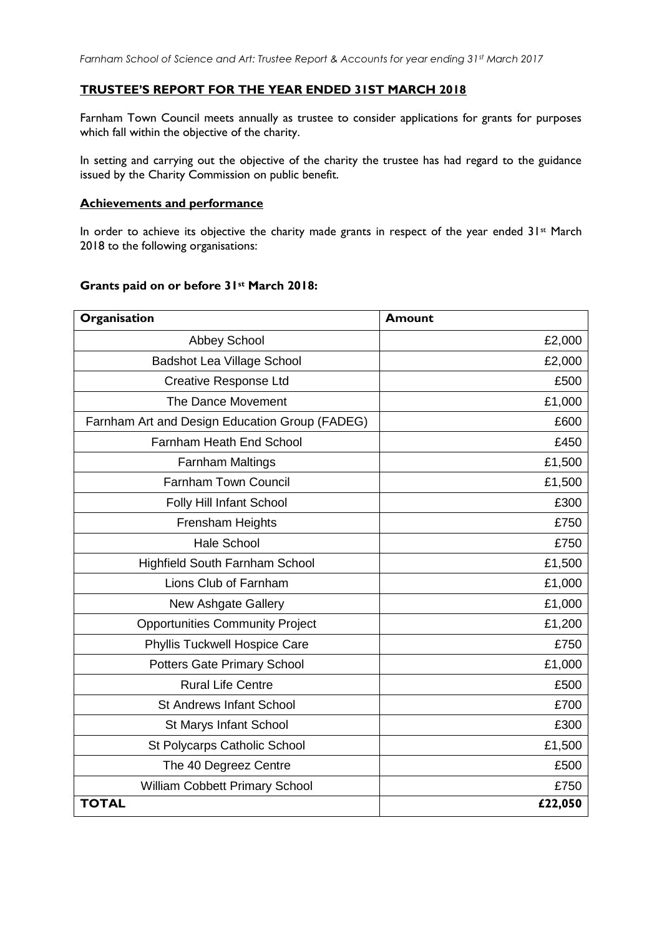#### **TRUSTEE'S REPORT FOR THE YEAR ENDED 31ST MARCH 2018**

Farnham Town Council meets annually as trustee to consider applications for grants for purposes which fall within the objective of the charity.

In setting and carrying out the objective of the charity the trustee has had regard to the guidance issued by the Charity Commission on public benefit.

#### **Achievements and performance**

In order to achieve its objective the charity made grants in respect of the year ended 31st March 2018 to the following organisations:

| Organisation                                   | <b>Amount</b> |
|------------------------------------------------|---------------|
| <b>Abbey School</b>                            | £2,000        |
| <b>Badshot Lea Village School</b>              | £2,000        |
| <b>Creative Response Ltd</b>                   | £500          |
| The Dance Movement                             | £1,000        |
| Farnham Art and Design Education Group (FADEG) | £600          |
| <b>Farnham Heath End School</b>                | £450          |
| <b>Farnham Maltings</b>                        | £1,500        |
| <b>Farnham Town Council</b>                    | £1,500        |
| Folly Hill Infant School                       | £300          |
| Frensham Heights                               | £750          |
| <b>Hale School</b>                             | £750          |
| <b>Highfield South Farnham School</b>          | £1,500        |
| Lions Club of Farnham                          | £1,000        |
| New Ashgate Gallery                            | £1,000        |
| <b>Opportunities Community Project</b>         | £1,200        |
| <b>Phyllis Tuckwell Hospice Care</b>           | £750          |
| <b>Potters Gate Primary School</b>             | £1,000        |
| <b>Rural Life Centre</b>                       | £500          |
| <b>St Andrews Infant School</b>                | £700          |
| St Marys Infant School                         | £300          |
| St Polycarps Catholic School                   | £1,500        |
| The 40 Degreez Centre                          | £500          |
| William Cobbett Primary School                 | £750          |
| <b>TOTAL</b>                                   | £22,050       |

#### **Grants paid on or before 31st March 2018:**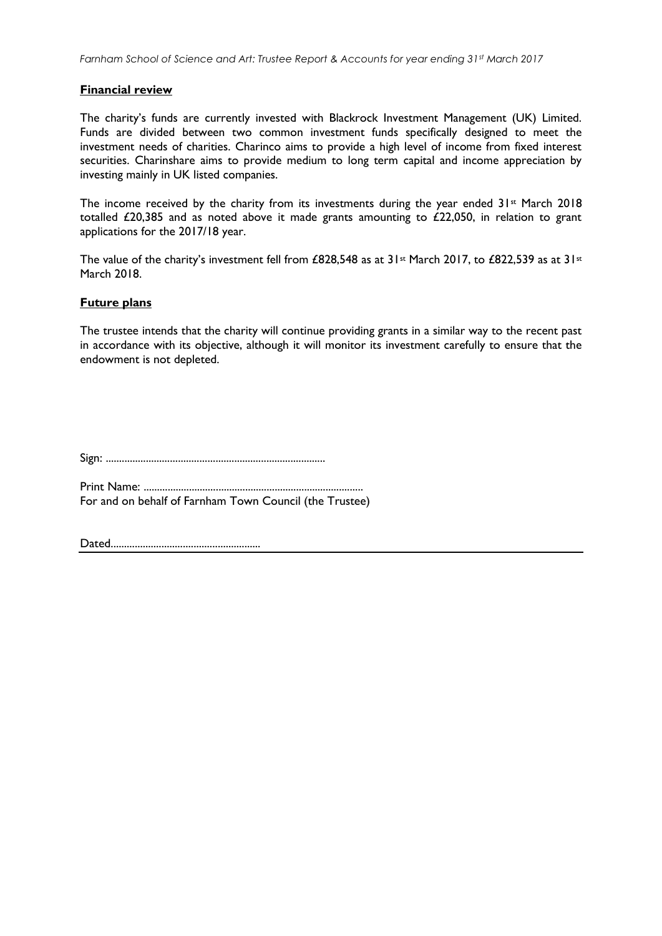#### **Financial review**

The charity's funds are currently invested with Blackrock Investment Management (UK) Limited. Funds are divided between two common investment funds specifically designed to meet the investment needs of charities. Charinco aims to provide a high level of income from fixed interest securities. Charinshare aims to provide medium to long term capital and income appreciation by investing mainly in UK listed companies.

The income received by the charity from its investments during the year ended 31<sup>st</sup> March 2018 totalled £20,385 and as noted above it made grants amounting to £22,050, in relation to grant applications for the 2017/18 year.

The value of the charity's investment fell from £828,548 as at 31<sup>st</sup> March 2017, to £822,539 as at 31<sup>st</sup> March 2018.

#### **Future plans**

The trustee intends that the charity will continue providing grants in a similar way to the recent past in accordance with its objective, although it will monitor its investment carefully to ensure that the endowment is not depleted.

Sign: ..................................................................................

Print Name: .................................................................................. For and on behalf of Farnham Town Council (the Trustee)

Dated........................................................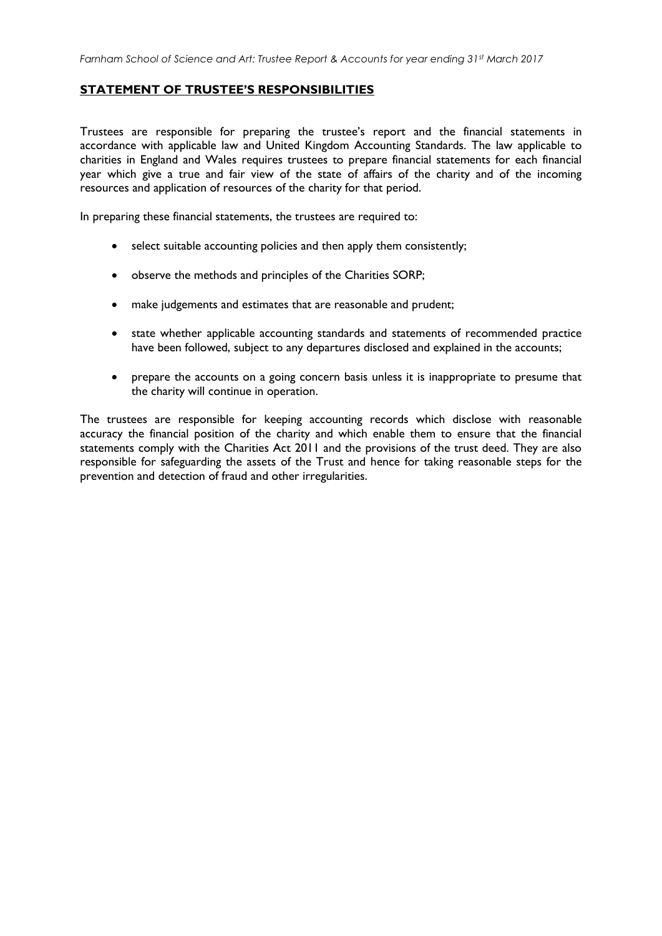#### **STATEMENT OF TRUSTEE'S RESPONSIBILITIES**

Trustees are responsible for preparing the trustee's report and the financial statements in accordance with applicable law and United Kingdom Accounting Standards. The law applicable to charities in England and Wales requires trustees to prepare financial statements for each financial year which give a true and fair view of the state of affairs of the charity and of the incoming resources and application of resources of the charity for that period.

In preparing these financial statements, the trustees are required to:

- select suitable accounting policies and then apply them consistently;
- observe the methods and principles of the Charities SORP;
- make judgements and estimates that are reasonable and prudent;
- state whether applicable accounting standards and statements of recommended practice have been followed, subject to any departures disclosed and explained in the accounts;
- prepare the accounts on a going concern basis unless it is inappropriate to presume that the charity will continue in operation.

The trustees are responsible for keeping accounting records which disclose with reasonable accuracy the financial position of the charity and which enable them to ensure that the financial statements comply with the Charities Act 2011 and the provisions of the trust deed. They are also responsible for safeguarding the assets of the Trust and hence for taking reasonable steps for the prevention and detection of fraud and other irregularities.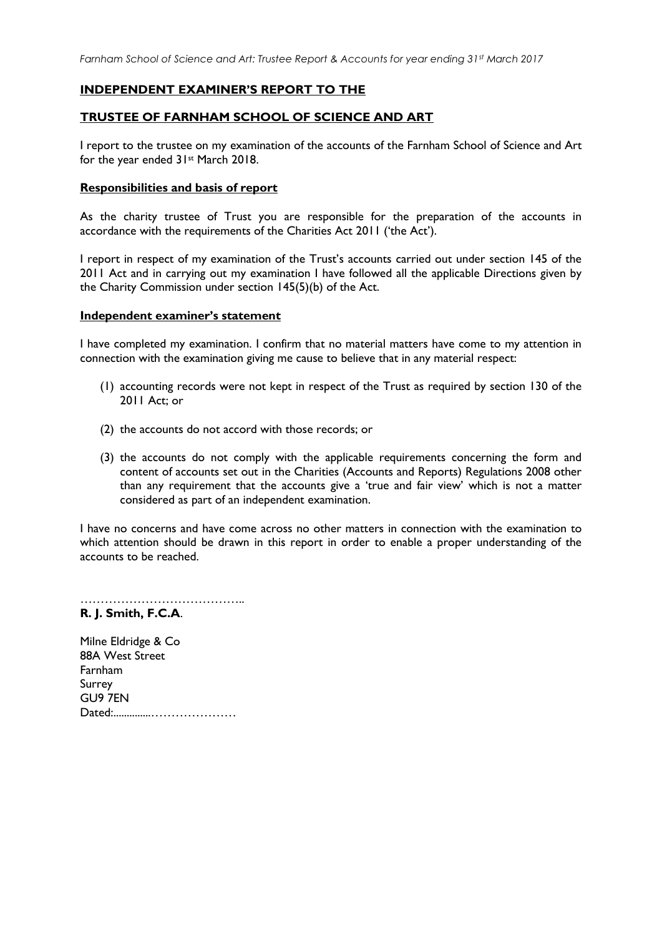#### **INDEPENDENT EXAMINER'S REPORT TO THE**

#### **TRUSTEE OF FARNHAM SCHOOL OF SCIENCE AND ART**

I report to the trustee on my examination of the accounts of the Farnham School of Science and Art for the year ended 31st March 2018.

#### **Responsibilities and basis of report**

As the charity trustee of Trust you are responsible for the preparation of the accounts in accordance with the requirements of the Charities Act 2011 ('the Act').

I report in respect of my examination of the Trust's accounts carried out under section 145 of the 2011 Act and in carrying out my examination I have followed all the applicable Directions given by the Charity Commission under section 145(5)(b) of the Act.

#### **Independent examiner's statement**

I have completed my examination. I confirm that no material matters have come to my attention in connection with the examination giving me cause to believe that in any material respect:

- (1) accounting records were not kept in respect of the Trust as required by section 130 of the 2011 Act; or
- (2) the accounts do not accord with those records; or
- (3) the accounts do not comply with the applicable requirements concerning the form and content of accounts set out in the Charities (Accounts and Reports) Regulations 2008 other than any requirement that the accounts give a 'true and fair view' which is not a matter considered as part of an independent examination.

I have no concerns and have come across no other matters in connection with the examination to which attention should be drawn in this report in order to enable a proper understanding of the accounts to be reached.

………………………………….. **R. J. Smith, F.C.A**.

Milne Eldridge & Co 88A West Street Farnham Surrey GU9 7EN Dated:..............…………………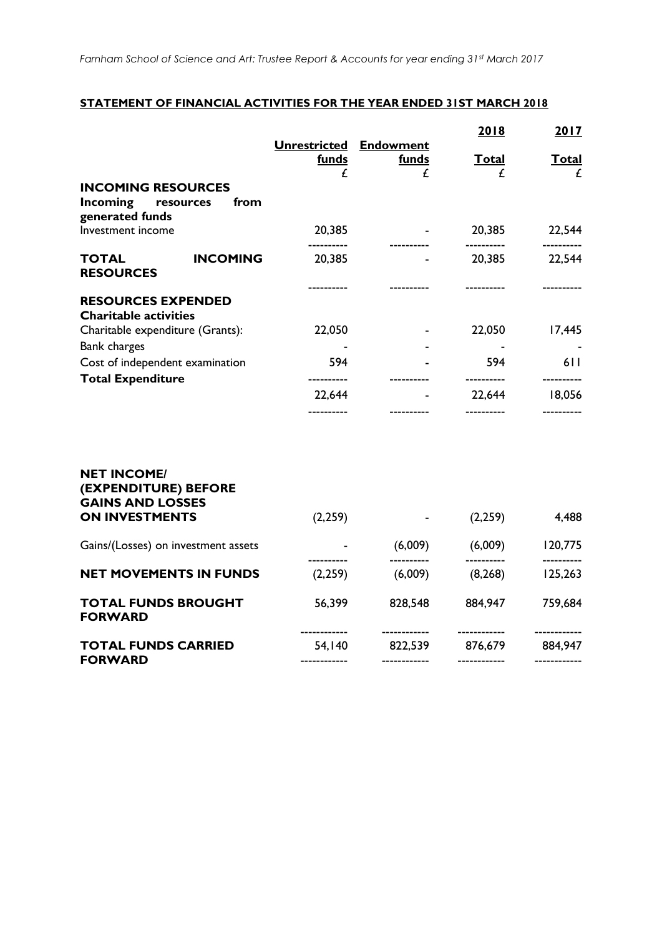#### **STATEMENT OF FINANCIAL ACTIVITIES FOR THE YEAR ENDED 31ST MARCH 2018**

|                                                                       |                                               |              | 2018              | 2017              |
|-----------------------------------------------------------------------|-----------------------------------------------|--------------|-------------------|-------------------|
|                                                                       | <b>Unrestricted Endowment</b><br><b>funds</b> | <b>funds</b> | <u>Total</u>      | <u>Total</u>      |
| <b>INCOMING RESOURCES</b>                                             | £                                             | £            | £                 | £                 |
| Incoming<br>from<br>resources<br>generated funds                      |                                               |              |                   |                   |
| Investment income                                                     | 20,385                                        |              | 20,385            | 22,544            |
| <b>INCOMING</b><br><b>TOTAL</b><br><b>RESOURCES</b>                   | 20,385                                        |              | 20,385            | 22,544            |
| <b>RESOURCES EXPENDED</b><br><b>Charitable activities</b>             |                                               |              |                   |                   |
| Charitable expenditure (Grants):                                      | 22,050                                        |              | 22,050            | 17,445            |
| <b>Bank charges</b>                                                   |                                               |              |                   |                   |
| Cost of independent examination<br><b>Total Expenditure</b>           | 594<br>----------                             |              | 594<br>---------- | 611<br>---------- |
|                                                                       | 22,644                                        |              | 22,644            | 18,056            |
|                                                                       |                                               |              |                   |                   |
| <b>NET INCOME/</b><br>(EXPENDITURE) BEFORE<br><b>GAINS AND LOSSES</b> |                                               |              |                   |                   |
| <b>ON INVESTMENTS</b>                                                 | (2,259)                                       |              | (2,259)           | 4,488             |
| Gains/(Losses) on investment assets                                   |                                               | (6,009)      | (6,009)           | 120,775           |
| <b>NET MOVEMENTS IN FUNDS</b>                                         | (2,259)                                       | (6,009)      | (8, 268)          | 125,263           |

| <b>TOTAL FUNDS BROUGHT</b><br><b>FORWARD</b> | 56.399                 | 828.548                 | 884.947                 | 759,684                 |
|----------------------------------------------|------------------------|-------------------------|-------------------------|-------------------------|
| <b>TOTAL FUNDS CARRIED</b>                   | ------------<br>54.140 | ------------<br>822.539 | ------------<br>876.679 | ------------<br>884.947 |
| <b>FORWARD</b>                               | ------------           | ------------            | ------------            | ------------            |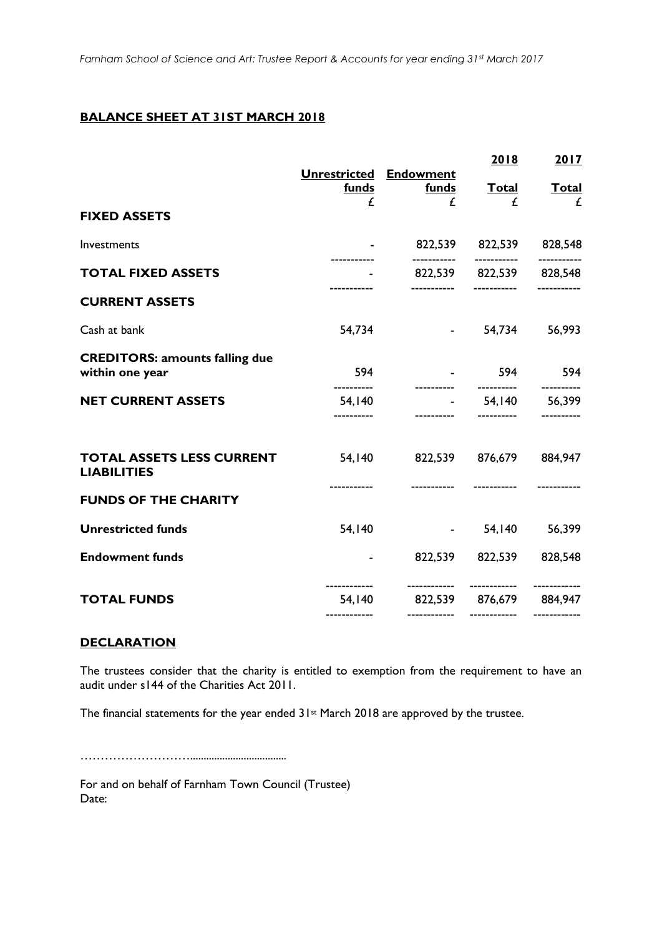### **BALANCE SHEET AT 31ST MARCH 2018**

|                                                          | Unrestricted Endowment |                                | 2018                     | 2017       |
|----------------------------------------------------------|------------------------|--------------------------------|--------------------------|------------|
|                                                          | <b>funds</b>           | funds                          | <u>Total</u>             | Total      |
| <b>FIXED ASSETS</b>                                      | £                      | £                              | £                        | £          |
| Investments                                              |                        |                                | 822,539 822,539 828,548  |            |
| <b>TOTAL FIXED ASSETS</b>                                |                        |                                | 822,539 822,539 828,548  | ---------  |
| <b>CURRENT ASSETS</b>                                    |                        |                                |                          |            |
| Cash at bank                                             | 54,734                 |                                | $-54,734$ 56,993         |            |
| <b>CREDITORS: amounts falling due</b><br>within one year | 594                    |                                | $-594$ 594               |            |
| <b>NET CURRENT ASSETS</b>                                | ----------<br>54,140   |                                | $-$ 54,140 56,399        | ---------- |
| <b>TOTAL ASSETS LESS CURRENT</b><br><b>LIABILITIES</b>   |                        | 54,140 822,539 876,679 884,947 |                          |            |
| <b>FUNDS OF THE CHARITY</b>                              |                        |                                |                          |            |
| <b>Unrestricted funds</b>                                | 54,140                 |                                | $-$ 54,140 56,399        |            |
| <b>Endowment funds</b>                                   |                        |                                | 822,539 822,539 828,548  |            |
| <b>TOTAL FUNDS</b>                                       |                        | 54,140 822,539 876,679 884,947 | ------------ ----------- |            |
|                                                          |                        |                                |                          |            |

#### **DECLARATION**

The trustees consider that the charity is entitled to exemption from the requirement to have an audit under s144 of the Charities Act 2011.

The financial statements for the year ended 31<sup>st</sup> March 2018 are approved by the trustee.

………………………....................................

For and on behalf of Farnham Town Council (Trustee) Date: